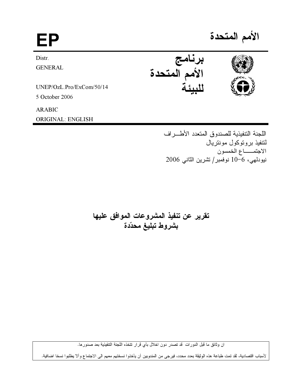الأمم المتحدة EP برنامج<br>الأمم المتحدة<br>.. Distr. **GENERAL** UNEP/OzL.Pro/ExCom/50/14 5 October 2006 **ARABIC** ORIGINAL: ENGLISH

> اللجنة التنفيذية للصندوق المتعدد الأطـراف لتتفيذ بروتوكول مونتريال الاجتمـــاع الخمسون نيودلمهي، 6-10 نوفمبر/تشرين الثاني 2006

تقرير عن تنفيذ المشروعات الموافق عليها بشروط تبليغ محدّدة

ان وثائق ما قبل الدورات قد تصدر دون اخلال بأي قرار تتخذه اللجنة التنفيذية بعد صدورها.

لأسباب اقتصادية، لقد تمت طباعة هذه الوثيقة بعدد محدد، فيرجى من المندوبين أن يأخذوا نسختهم معهم الى الاجتماع وألا يطلبوا نسخا اضافية.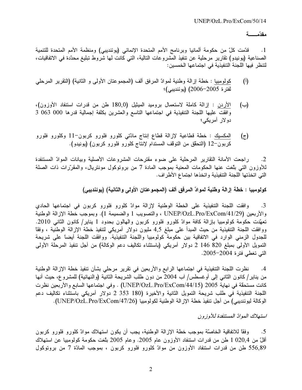مقدّمــــــــة

قدّمت كلّ من حكومة ألمانيا وبرنامج الأمم المتحدة الإنمائي (يوئنديبي) ومنظمة الأمم المتحدة للتنمية  $\cdot$ 1 الصناعية (يونيدو) تقارير مرحلية عن تنفيذ المشروعات التالية، التي كانت لها شَروط تبليغ محدّدة في الاتفاقيات، لتنظر فيها اللجنة التنفيذية في اجتماعها الخمسين:

- كولومبيا : خطة إزالة وطنية لموادّ المرفق ألف (المجموعتان الأولى و الثانية) (التقرير المرحلي  $\left($ <sup>[</sup> $\right)$ ] لفتر ة 2005–2006) (يوئنديبي)؛
- الأردن : إزالة كاملة لاستعمال بروميد الميثيل (180٫0 طن من قدرات استنفاد الأوزون)، (ب) وافقت عليها اللجنة التنفيذية في اجتماعها التاسع والعشرين بكلفة إجمالية قدرها 000 063 3 دو لار آمريكي؛
- المكسيك : خطة قطاعية لإزالة قطاع إنتاج مادّتي كلورو فلورو كربون–11 وكلورو فلورو  $(\tau)$ كربون-12 (التحقق من التوقف المستدام لإنتاج كلورو فلورو كربون) (يونيدو).

ر اجعت الأمانة التقارير المرحلية على ضوء مقترحات المشروعات الأصلية وبيانات الموادّ المستنفدة  $\cdot$ .2 للأوزون التي بلغت عنها الحكومات المعنية بموجب المادة 7 من بروتوكول مونتريال، والمقرَّرات ذات الصلة التي اتخذتها اللجنة التنفيذية واتخذها اجتماع الأطراف.

كولومبيا : خطة إزالة وطنية لموادّ المرفق ألف (المجموعتان الأولى والثانية) (يوئنديبي)

وافقت اللجنة التنفيذية على الخطة الوطنية لإزالة موادّ كلورو فلورو كربون في اجتماعها الحادي .3 والأربعين (29/UNEP/OzL.Pro/ExCom/41 ، والتصويب 1 والضميمة 1). وبموجب خطة الإزالة الوطنية تعهّدت حكومة كولومبيا بإزالة كافة موادّ كلورو فلورو كربون والهالون بحدود 1 يناير/ كانون الثاني 2010. ووافقت اللجنة التنفيذية من حيث المبدأ على مبلغ 4٫5 مليون دولار أمريكي لتنفيذ خطة الإزالة الوطنية ، وفقا للجدول الزمني الوارد في الاتفاقية بين حكومة كولومبيا واللجنة التنفيذية. ووافقت اللجنة أيضاً على شريحة التمويل الأولى بمبلغ 820 146 2 دولار أمريكي (باستثناء تكاليف دعم الوكالة) من أجل تنفيذ المرحلة الأولى التي تغطي فترة 2004–2005.

نظرت اللجنة التنفيذية في اجتماعها الرابع والأربعين في تقرير مرحلي بشأن تنفيذ خطة الإزالة الوطنية  $\cdot$ .4 من يناير/ كانون الثاني إلى أوغسطس/ آب 2004 من دون طلب الشريحة الثانية (والنهائية) للمشروع، حيث أنها كانت مستحقة في نهاية 2005 (UNEP/OzL.Pro/ExCom/44/15) . وفي اجتماعها السابع والأربعين نظرت اللجنة التنفيذية في طلب شريحة التمويل الثانية والأخيرة (180 353 2 دولار أمريكي باستثناء تكاليف دعم الوكالة ليوئنديبي) من أجل تنفيذ خطة الإزالة الوطنية لكولومبيا (UNEP/OzL.Pro/ExCom/47/26).

استهلاك الموادّ المستنفدة للأوز ون

وفقًا للاتفاقية الخاصَّة بموجب خطَّة الإزالة الوطنية، يجب أن يكون استهلاك موادَّ كلُّورو فلورو كربون .5 أقلّ من 020٫4 طن من قدرات استنفاد الأوزون عام 2005. وعام 2005 بلّغت حكومة كولومبيا عن استهلاك 556,89 طن من قدرات استنفاد الأوزون من موادّ كلورو فلورو كربون ، بموجب المادّة 7 من بروتوكول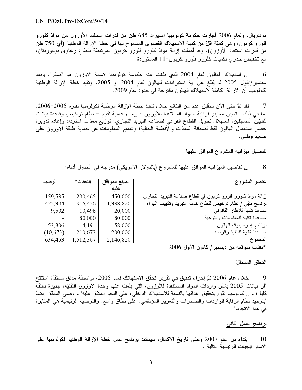موننتريال. ولعام 2006 أجازت حكومة كولومبيا استيراد 685 طن من قدرات استنفاد الأوزون من موادّ كلورو<br>فلورو كربون، وهي كميّة أقلّ من كمية الاستهلاك القصوى المسموح بها في خطة الإزالة الوطنية (أي 750 طن<br>من قدرات استنفاد الأوزون فلورو كربون، وهي كميّة أقلّ من كمية الاستهلاك القصوى المسموح بها في خطة الإزالة الوطنية (أي 750 طن<br>من قدرات استنفاد الأوزون). وقد أكملت إزالة موادّ كلورو فلورو كربون المرتبطة بقطاع رغاوى بوليوريتان،<br>مع تخفيض جذري لكميّات

إن استهلاك المهالون لعام 2004 الذي بلّغت عنه حكومة كولومبيا لأمانة الأوزون هو "صفر". وبعد مع تخفيض جذري لكميّات كلورو فلورو كربون−11 المستوردة.<br>6. إن استهلاك المهالون لعام 2004 الذي بلّغت عنه حكوم<br>سبتمبر/أيلول 2005 لم يُبلّغ عن أية استيرادات للمهالون لعام 4<br>اكما مطأو القطاق اكلطقط العالم العام التعامل  $\frac{1}{2}$ 6. إن استهلاك المهالون لمعام 2004 الذي بلغت عنه .<br>سبتمبر/أيلول 2005 لم يُبلّغ عن أية استيرادات للمهالون لم<br>لكولومبيا أن الإزالة الكاملة لاستهلاك المهالون مقترحة في حدو<br>7 سبتمبر/أيلول 2005 لم يُبَلّغ عن أية استيرادات للهالون لعام 2004 أو 2005. وتفيد خطة الإزالة الوطنية<br>لكولومبيا أن الإزالة الكاملة لاستهلاك الهالون مقترحة في حدود عام 2009.<br>7. لقد تمّ حتى الآن تحقيق عدد من النتائج خلال

 $2006.2005 + x(1 - 1)$  d st it history st. حدود عام 2009.<br>بذ خطة الإزالة الوه<br>بن ؛ إرساء عملية :<br>التنبيد التعليمية : – حورو<br>اسناحة لكولومبيا أن الإزالة الكاملة لاستهلاك الهالون مقترحة في حدود عام 2009.<br>7 . لقد تمّ حتى الآن تحقيق عدد من النتائج خلال تنفيذ خطة الإزالة الوطنية لكولومبيا لفترة 2005–2006،<br>بما في ذلك : تعيين معايير لرقابة الموادّ الم 7<br>فا<br>• 7. لقد تمّ حتى الأن تحقيق عدد من النتائج خلال تنفيذ خطة الإزالة الوطنية لكولومبيا لفترة 2005–2006،<br>بما في ذلك : تعيين معايير لرقابة الموادّ المستنفدة للأوزون ؛ إرساء عملية تقييم – نظام ترخيص وقاعدة نيوير؛<br>حصر استعما  $\ddot{x}$   $\ddot{y}$   $\ddot{y}$  Z0 
 – 
& C/4 9 3F %/   < < : @\$ \* يين<br>حصـر استعمال الـهالون فقط<br>صـعيد وطنـي.<br>تفاصـرا ، مـرز ازرة المشر ، عـ الم

 $\frac{1}{2}$   $\frac{1}{2}$   $\frac{1}{2}$   $\frac{1}{2}$   $\frac{1}{2}$   $\frac{1}{2}$   $\frac{1}{2}$   $\frac{1}{2}$   $\frac{1}{2}$   $\frac{1}{2}$   $\frac{1}{2}$   $\frac{1}{2}$   $\frac{1}{2}$   $\frac{1}{2}$   $\frac{1}{2}$   $\frac{1}{2}$   $\frac{1}{2}$   $\frac{1}{2}$   $\frac{1}{2}$   $\frac{1}{2}$   $\frac{1}{2}$   $\frac{1}{2}$   $\frac{1}{2}$  ,  $\frac{1}{2}$  ,  $\frac{1}{2}$  ,  $\frac{1}{2}$  ,  $\frac{1}{2}$  ,  $\frac{1}{2}$  ,  $\frac{1}{2}$ ير سي<br>تفاصيل ميز انية<br>8

<u>فا</u><br>ح ست مين من العربي العربي المستقدر<br>8. إن تفاصيل الميز انية الموافق عليه<br>عنصر المشروع

| إن تفاصيل الميزانية الموافق عليها للمشروع (بالدولار الأمريكي) مدرجة في الجدول أدناه:<br>$\cdot 8$ |                        |           |           |  |  |  |  |  |  |  |
|---------------------------------------------------------------------------------------------------|------------------------|-----------|-----------|--|--|--|--|--|--|--|
| عنصر المشروع                                                                                      | المبلغ الموافق<br>عليه | النفقات * | الرصيد    |  |  |  |  |  |  |  |
| إزالة موادّ كلورو فلورو كربون في قطاع صناعة التبريد التجاري                                       | 450,000                | 290,465   | 159,535   |  |  |  |  |  |  |  |
| برنامج فنيَّى / نظام ترخيص لقطاع خدمة التبريد وتكييف الهواء                                       | 1,338,820              | 916,426   | 422,394   |  |  |  |  |  |  |  |
| مساعد تقنية للإطار القانوني                                                                       | 20,000                 | 10,498    | 9,502     |  |  |  |  |  |  |  |
| مساعدة تقنية للمعلومات والتوعية                                                                   | 80,000                 | 80,000    |           |  |  |  |  |  |  |  |
| برنامج إدارة بنوك الهالون                                                                         | 58,000                 | 4,194     | 53,806    |  |  |  |  |  |  |  |
| مساعدة تقنية للتنفيذ والرصد                                                                       | 200,000                | 210,673   | (10, 673) |  |  |  |  |  |  |  |
| المجمو ع                                                                                          | 2,146,820              | 1,512,367 | 634,453   |  |  |  |  |  |  |  |
|                                                                                                   |                        |           |           |  |  |  |  |  |  |  |

\*نفقات متوقعة من ديسمبر / كانون الأول 2006<br><u>التحقق المستقلّ</u><br>9. خلال عام 2006 تمّ إجر اء تدقيق في تا

لنا<br>أ كلّياً ؛ وأن كولومبيا نقوم بتحقيق أهدافها بالنسبة للاستهلاك الداخلّي، على النحو المتفق عليه" وأوصىي المدقق أيضاً |<br>"أن<br>كا <u>ې</u><br>۱<u>۴</u> خلال عام 2006 تمّ إجراء تدقيق في تقرير تحقّق الاستهلاك لعام 2005، بواسطة مدقق مستقلّ استنتج 9.<br>"أن بيانات 2005 بشأن واردات المواد المستنفدة للأوز<br>كليا ؛ وأن كولومبيا تقوم بتحقيق أهدافها بالنسبة للاستها<br>"بتوحيد نظام الرقابة للواردات والصادرات والنعزيز اله<br>"بتوحيد نظام الرقابة للواردات والصادرات والنعزيز اله "أن بيانات 2005 بشأن واردات المواد المستنّفدة للأوزون، التي بلّغت عنها و<br>كلّيا ؛ وأن كولومبيا تقوم بتحقيق أهدافها بالنسبة للاستهلاك الداخلي، على النحو<br>"بنوحيد نظام الرقابة للواردات والصـادرات والتعزيز المؤسّسي، على نطاق و "بتوحيد نظام الرقابة للواردات والصادرات والتعزيز المؤسّسي، على نطاق واسع. والتوصية الرئيسية هي المثابرة في هذا الاتجاه."

# $\frac{1}{2}$  . The state of  $\frac{1}{2}$  is the state of  $\frac{1}{2}$

<u>برنامج العمل الثاني</u><br>10. ابتداء من عام 2007 وحتى تاريخ الإكمال، سيستند برنامج عمل خطة الإزالة الوطنية لكولومبيا على <u>ر</u><br>ر 7 < (<br>}<br>} 10 . ابتداء من عام 2007 و<br>الاستر اتيجيات الرئيسية التالية :<br>-الأستر اتيجيات الر<sup>.</sup><br>|<br>|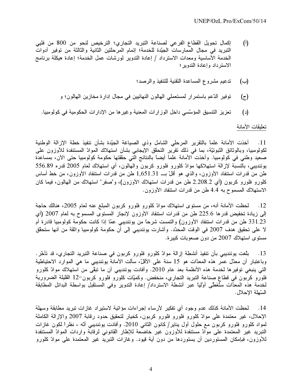- إكمال تحويل القطاع الفرعي لصناعة التبريد التجاري؛ الترخيص لنحو من 800 من فنّيي  $\left($ <sup>[</sup> $\right)$ ] التبريد في مجال الممارسات الجيّدة للخدمة؛ إتمام المرحلتين الثانية والثالثة من توفير أدوات الخدمة الأساسية ومعدات الاسترداد / إعادة التدوير لمورشات عمل الخدمة؛ إعادة هيكلة برنامج الاسترداد وإعادة الندوير ؛
	- تدعيم مشروع المساعدة التقنية للتنفيذ والرصد؛  $(\rightarrow)$
	- توفير الدّعم باستمرار لمستعملي الهالون النهائيين في مجال إدارة مخازين المهالون؛ و (ج)
	- تعزيز التنسيق المؤسَّسي داخل الوز ارات المعنية وغير ها من الإدار ات الحكومية في كولومبيا.  $(\iota)$

تعليقات الأمانة

أخذت الأمانة علماً بالتقرير المرحلي الشامل وذي الصياغة الجيّدة بشأن نتفيذ خطة الإزالة الوطنية  $\overline{\phantom{0}}$ .11 لكولومبيا، وبالوثائق الثبونيّة، بما في ذلك نقرير التحقق الإيجابي بشأن استهلاك الموادّ المستنفدة للأوزون على صعيد وطني في كولومبيا. وأخذت الأمانة علمًا أيضًا بالنتائج التي حققتها حكومة كولومبيا حتى الآن، بمساعدة يوئنديبي، بالنسبة لإزالة استهلاكها موادّ كلورو فلورو كربون والهالون، أي استهلاك لعام 2005 قدره 556.89 طن من قدرات استنفاد الأوزون، والذي هو أقلّ بــ 1,651.31 طن من قدرات استنفاد الأوزون، من خط أساس كلورو فلورو كربون (أي 2.208.2 طن من قدرات استهلاك الأوزون)، و"صفر" استهلاك من المهالون، فيما كان الاستهلاك المسموح به 4.4 طن من قدرات استنفاد الأوزون.

12. لحظت الأمانـة أنـه، من مستوى استـهلاك موادّ كلورو فلورو كربون المبلـغ عنـه لـعام 2005، هنالك حاجـة إلى زيادة تخفيض قدرها 225.6 طن من قدرات استنفاد الأوزون لإنجاز المستوى المسموح به لعام 2007 (أي 331.23 طن من قدرات استنفاد الأوزون) والتمست شرحاً من يوئنديبي عمّا إذا كانت حكومة كولومبيا قادرة أم لا على تحقيق هدف 2007 في الوقت المحدّد. وأشارت يوئنديبي إلى أن حكومة كولومبيا واثقة من أنها ستحقق مستوى استهلاك 2007 من دون صعوبات كبير ة.

بلُّغت يوئنديبي بأن تنفيذ أنشطة إزالة موادّ كلورو فلورو كربون في صناعة التبريد التجاري، قد تأخَّر .  $\overline{13}$ وباعتبار أن معدّل عمر هذه المعدّات هو 15 سنة على الأقلّ، سألت الأمانة يوئنديبي ما هي الموارد الاحتياطية التي ينبغي توفير ها لخدمة هذه الأنظمة بعد عام 2010. وأفادت يوئنديبي أن ما تبقي من استهلاك موادّ كلورو فلورو كربون في قطاع صناعة التبريد التجاري، منخفض. وكميّات كلورو فلورو كربون–12 القليلة الضرورية لخدمة هذه المعدّات ستُغَطَّى أولَّليَّا عبر أنشطة الاسترداد/ إعادة التدوير وفي المستقبل بواسطة البدائل المطابقة السّهلة الإحلال.

لمحظت الأمانة كذلك عدم وجود أي تفكير لأرساء إجراءات مؤاتية لاستيراد غازات تبريد مطابقة وسهلة  $\overline{14}$ الإحلال، غير معتمدة على موادّ كلورو فلورو فلورو كربون، كخيار لتحقيق حدود رقابة 2007 والإزالة الكاملة لمواد كلورو فلورو كربون مع حلول أول يناير/ كانون الثاني 2010. وأفادت يوئنديبي أنّه ، نظراً لكون غازات التبريد غير المعتمدة على موادّ مستنفدة للأوزون غير خاضعة للإطار القانوني لرقابة واردات الموادّ المستنفدة للأوزون، فبإمكان المستوردين أن يستوردها من دون أية قيود. وغازات التبريد غير المعتمدة على موادّ كلورو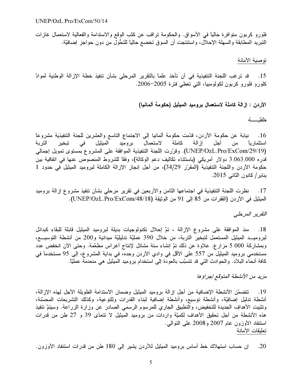فلورو كربون متوافرة حاليًا في الأسواق. والحكومة تراقب عن كثب الوقع والاستدامة والفعالية لاستعمال غازات النبريد المطابقة والسهلة الإحلال، واستنتجت أن السوق تخضع حالياً للتحُّول من دون حواجز إضافيَّة.

#### توصية الأمانة

قد ترغب اللجنة التنفيذية في أن تأخذ علماً بالتقرير المرحلي بشأن تنفيذ خطة الإزالة الوطنية لموادّ  $.15$ كلورو فلورو كربون لكولومبيا، التي تغطي فترة 2005–2006.

الأردن : إزالة كاملة لاستعمال بروميد الميثيل (حكومة ألمانيا)

خلفتيه

16 . نيابة عن حكومة الأردن، قدّمت حكومة ألمانيا إلى الاجتماع التاسع والعشرين للجنة التنفيذية مشروعاً كاملة لاستعمال بروميد الميثيل في تبخير التربة إز الة أجل استثمارياً من (UNEP/OzL.Pro/ExCom/29/19). وقرَّرت اللجنة التنفيذية الموافقة على المشروع بمستوى تمويل إجمالي قدره 3.063.000 دولار أمريكي (باستثناء تكاليف دعم الوكالة)، وفقًا للشروط المنصوص عنها في اتفاقية بين حكومة الأردن واللجنة التنفيذية (المقرّر 34/29)، من أجل إنجاز الإزالة الكاملة لبروميد الميثيل في حدود 1 يناير/ كانون الثاني 2015.

نظرت اللجنة التنفيذية في اجتماعها الثامن والأربعين في نقرير مرحلي بشأن تنفيذ مشروع إزالة بروميد  $\ldots$ 17 الميثيل في الأردن (الفقرات من 85 إلى 91 من الوثيقة (UNEP/OzL.Pro/ExCom/48/18).

التفرير المرحلي

18. منذ الموافقة على مشروع الإزالة ، تمّ إحلال تكنولوجيات بديلة لبروميد الميثيل قابلة للبقاء كبدائل لبروميــد الميثيل المستعمل لتبخير التربة، من خلال 390 عمليّة تدليليّة ميدانية و200 من أنشطة التوسيـــع، وبمشاركة 000 5 مزار ع. علاوة عن ذلك تمّ إنشاء ستة مشاتل لإنتاج أغراس مطعَّمة. وحتى الآن انخفض عدد مستخدمي بروميد الميثيل من 557 على الأقل في وادي الأردن وحده، في بداية المشروع، إلى 95 مستخدماً في كافة أنحاء البلاد. والحوادث التي قد نتسبَّب بالعودة إلى استخدام بروميد الميثيل هي منعدمة عمليًّا.

# مزيد من الأنشطة المتوقع إجراؤها

19 . تتضمَّن الأنشطة الإضافية من أجل إزالة بروميد الميثيل وضمان الاستدامة الطويلة الأجل لهذه الإزالة، أنشطة ندليل إضافيَّة، وأنشطة توسيع، وأنشطة إضافية لبناء القدرات وللتوعية، وكذلك التشريعات المحسَّنة، وتثبيت الأهداف الجديدة للتخفيض، والتطبيق الجاري للمرسوم الرسمي الصادر عن وزارة الزراعة. وسيتمّ تنفيذ هذه الأنشطة من أجل تحقيق الأهداف لكميّة واردات من بروميد الميثيل لا نتعدّى 39 و 27 طن من قدرات استنفاد الأوزون عام 2007 و2008 على النوالي. تعليقات الأمانة

إن حساب استهلاك خط أساس بروميد الميثيل للأردن يشير إلى 180 طن من قدرات استنفاد الأوزون.  $.20$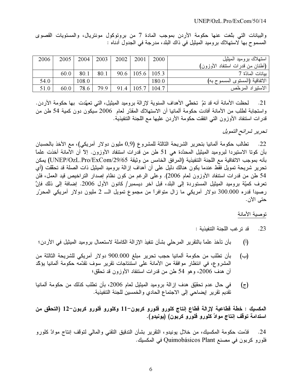#### UNEP/OzL.Pro/ExCom/50/14

والبيانات التي بلّغت عنها حكومة الأردن بموجب المادة 7 من بروتوكول مونتريال، والمستويات القصوى المسموح بها لاستهلاك بروميد الميثيل في ذاك البلد، مدرجة في الجدول أدناه :

| استهلاك بروميد الميثيل           | 2000  | 2001            | 2002 | 2003 | 2004  | 2005 | 2006 |
|----------------------------------|-------|-----------------|------|------|-------|------|------|
| (أطنان من قدرات استنفاد الأوزون) |       |                 |      |      |       |      |      |
| ببانات المادّة 7                 |       | $105.6$   105.3 | 90.6 | 80.1 | 80.1  | 60.0 |      |
| الاتفاقية (المستوى المسموح به)   | 180.0 |                 |      |      | 108.0 |      | 54.0 |
| الاستيراد المرخّص                | 104.7 | 105.7           | 91.4 | 79.9 | 78.6  | 60.0 | 51.0 |

لحظت الأمانة أنه قد تمّ تخطّي الأهداف السنوية لإزالة بروميد الميثيل، التي تعهّدت بها حكومة الأردن.  $.21$ واستجابة لطلب من الأمانة أفادت حكومة ألمانيا أن الاستهلاك المقدّر لعام 2006 سيكون دون كمية 54 طن من قدرات استنفاد الأوزون التبي اتفقت حكومة الأردن عليها مع اللجنة التنفيذية.

# تحرير شرائح التمويل

22. تطالب حكومة ألمانيا بتحرير الشريحة الثالثة للمشروع (0٫9 مليون دولار أمريكي)، مع الأخذ بالحسبان بأن كوتا الاستيردا لبروميد الميثيل المحدّدة هي 51 طن من قدرات استنفاد الأوزون. إلاّ أن الأمانة أخذت علماً بأنه بموجب الاتفاقية مع اللجنة التنفيذية (المرفق الخامس من وثيقة UNEP/OzL.Pro/ExCom/29/65) يمكن تحرير شريحة تمويل فقط عندما يكون هنالك دليل على أن أهداف إزالة بروميد الميثيل ذات الصلة قد تحقَّقت (أي 54 طن من قدرات استنفاد الأوزون لعام 2006). وعلى الرغم من كون نظام إصدار التراخيص قيد العمل، فلن تعرف كميّة بروميد المميثيل المستوردة إلى البلد، قبل أخر ديسمبر/ كانون الأول 2006. إضافة إلى ذلك فإنّ رصيداً قدره 300.000 دولار أمريكي ما زال متوافراً من مجموع تمويل الـــ 2 مليون دولار أمريكي المحرّر حتى الآن.

# توصية الأمانة

- قد تر غب اللجنة التنفيذية : .23
- بأن تأخذ علماً بالتقرير المرحلي بشأن تنفيذ الإزالة الكاملة لاستعمال بروميد الميثيل في الأردن؛  $\binom{1}{1}$
- بأن تطلب من حكومة ألمانيا حجب تحرير مبلغ 900.000 دولار أمريكي للشريحة الثالثة من  $(\rightarrow)$ المشروع، في انتظار موافقة من الأمانة على استنتاجات تقرير سوف تقدّمه حكومة ألمانيا يؤكّد أن هدف 2006، وهو 54 طن من قدرات استنفاد الأوزون قد تحقق؛
- في حال عدم تحقيَّق هدف إزالة بروميد الميثيل لعام 2006، بأن نطلب كذلك من حكومة ألمانيا  $(\bar{z})$ تقديم تقرير إيضاحي إلى الاجتماع الحادي والخمسين للجنة التنفيذية.

المكسيك : خطة قطاعية لإزالة قطاع إنتاج كلورو فلورو كربون–11 وكلورو فلورو كربون–12 (التحقُّق من استدامة توقف إنتاج موادّ كلورو فلورو كربون) (يونيدو).

قدّمت حكومة المكسيك، من خلال يونيدو، النقرير بشأن الندقيق النقني والمالمي لتوقف إنتاج موادّ كلورو  $.24$ فلورو كربون في مصنع Quimobásicos Plant في المكسيك.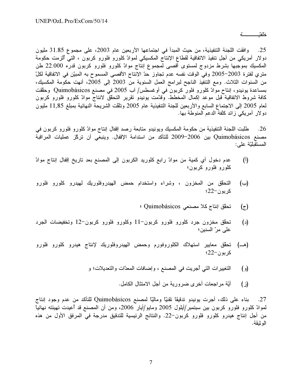خلفتي تم

ء<br>أو<br>. 25. وافقت اللجنة التنفيذية، من حيث المبدأ في اجتماعها الأربعين عام 2003، على مجموع 31.85 مليون<br>دولار أمريكي من أجل تنفيذ الاتفاقية لقطاع الإنتاج المكسيكي لموادّ كلورو فلورو كربون ، التي ألزمت حكومة<br>المكسيك بموجبها بشر حسيب **.**<br>حب دولار امريكي من اجل تنفيذ الاتفاقية لقطاع الإنتاج المكسيكي لموادّ كلورو فلورو كربون ، التي الزمت .<br>المكسيك بموجبها بشرط مزدوج لمستوى أقصى لمجموع إنتاج موادّ كلورو فلورو كربون قدره 2.000<br>منز السنوات الثلاث. ومع التنفيذ الن المكسيك بموجبها بشرط مزدوج لمستوى أقصى لمجموع إنتاج موادّ كلورو فلورو كربون قدره 22.000 طن<br>متري لفترة 2003–2005 وفي الوقت نفسه عدم تجاوز حدّ الإنتاج الأقصى المسموح به المبيّن في الاتفاقية لكلّ<br>من السنوات الثلاث. ومع التنف حدّ الإنتاج الاقصى المسموح به المبيّن في الاتفاقية لكلِّ<br>سنوية من 2003 إلى 2005، أنهت حكومة المكسيك،<br>طس/ آب 2005 في مصنع Quimobásicos وحقّقت<br>يونيدو تقرير التحقّق لانتاج موادّ كلورو فلورو كربون<br>يونيدو تقرير التحقّق لانتاج متري لفترة 2003–2005 وفي الوقت نفسه عدم تجاوز حدّ الإنتاج الأقصـى المسموح به المبيّن في الاتفاقية لكلّ<br>من السنوات الثلاث. ومع التنفيذ الناجح لبرامج العمل السنوية من 2003 إلى 2005، أنهت حكومة المكسيك،<br>بمساعدة يونيدو، إنتاح  $\frac{1}{2}$  ,  $\frac{1}{2}$  ,  $\frac{1}{2}$  ,  $\frac{1}{2}$  ,  $\frac{1}{2}$  ,  $\frac{1}{2}$  ,  $\frac{1}{2}$  ,  $\frac{1}{2}$  ,  $\frac{1}{2}$  ,  $\frac{1}{2}$  ,  $\frac{1}{2}$  ,  $\frac{1}{2}$  ,  $\frac{1}{2}$  ,  $\frac{1}{2}$  ,  $\frac{1}{2}$  ,  $\frac{1}{2}$  ,  $\frac{1}{2}$  ,  $\frac{1}{2}$  ,  $\frac{$ من السنوات الثلاث. ومع التنفيذ الناجح لبرامج العمل السنوية من 2003 إلى 2005، أنهت .<br>بمساعدة يونيدو، إنتاج موادّ كلورو فلور كربون في أوغسطس/ آب 2005 في مصنع básicos<br>كافة شروط الاتفاقية قبل موعد إكمال المخطط. وقدّمت يونيدو بمساعدة يونيدو، إنتاح موادّ كلورو فلور كربون في أوغسطس/ آب 2005 في مصنع Quimobásicos وحقّقت<br>كافة شروط الاتفاقية قبل موعد إكمال المخطط. وقدّمت يونيدو تقرير التحقّق لانتاج موادّ كلورو فلورو كربون<br>لعام 2005 إلى الاجتماع السا كافة شروط الاتفاقية قبل موعد إكمال المخطط. وقدّمت يونيدو نقرير التحقّق لانتاج موادّ كلورو فلورو كربون<br>لعام 2005 إلى الاجتماع السابع والأربعين للجنة التنفيذية عام 2005 وتلقّت الشريحة النهائية بمبلغ 11,85 مليون<br>دولار أمريكي لعام 2005 إلى الاجتماع السابع والأربعين للجنة التتفيذية عام 2005 وتلقت الشريحة النهائية بمبلغ 11,85 مليون<br>دولار أمريكي زائد كلفة الدعم المنوطة بها.<br>26. طلبت اللجنة التنفيذية من حكومة المكسيك ويونيدو متابعة رصد إقفال إ

 $\overline{1}$ دو لار امريكي ز ائد كلفة الدعم المنوطة بها.<br>26. طلبت اللجنة التنفيذية من حكومة المك<br>مصنع Quimobásicos بين 2006–009<br>السنقيانة ملم: م<br>ما<br>ما 26. طلبت اللجنة التنفيذية من<br>مصنع Quimobásicos بين 6<br>المستقبليّة على:<br>أ) مصدر فيا بيات مصنع Quimobásicos بين 2006–2009 للتأكد من استدامة الإقفال. وينبغّي أن تركّز عمليات المراقبة<br>المستقبليّة على:<br>(أ) عدم دخول أي كمية من موادّ رابع كلوريد الكربون إلى المصنع بعد تاريخ إقفال إنتاج موادّ

- عدم دخول أي كمية من موادّ رابع كلوريد الكربون إلى المصنع بعد تاريخ إقفال إنتاج موادّ  $\frac{1}{2}$   $\frac{1}{2}$   $\frac{1}{2}$   $\frac{1}{2}$   $\frac{1}{2}$   $\frac{1}{2}$   $\frac{1}{2}$   $\frac{1}{2}$   $\frac{1}{2}$   $\frac{1}{2}$   $\frac{1}{2}$   $\frac{1}{2}$   $\frac{1}{2}$   $\frac{1}{2}$   $\frac{1}{2}$   $\frac{1}{2}$   $\frac{1}{2}$   $\frac{1}{2}$   $\frac{1}{2}$   $\frac{1}{2}$   $\frac{1}{2}$   $\frac{1}{2}$
- ۱٫<br>كلورو فلورو كربون؛<br>(ب) التحقق من المخزون ، وشراء واستخدام حمض الهيدروفلوريك لميدرو كلورو فلورو<br>(ب) التحقق من المخزون ، وشراء واستخدام حمض الميدروفلوريك لميدرو كلورو فلورو ررر<br>النحقق من المخزوز<br>كربون–22؛ (· )<br>(ج) ت**ہ**<br>(ج) كربون–22؛<br>تحقق إنتاج ك<br>تمقّق منذ
	- 0/ C# " 30 2B&
- تحقّق مخزون جرد كلورو فلورو كربون–11 وكلورو فلورو كربون–12 وتخفيضات الجرد<br>علي مرّ السنين؛ (c)<br>()<br>-<br>-حقق مخزون جرد كلورو فلورو كربون–11 وكلورو فلورو كربون–12 وتخفيضات الجرد<br>على مرّ السنين؛<br>ديمن حكايير استهلاك الكلوروفورم وحمض الهيدروفلوريك لإنتاج هيدرو كلورو فلورو ( )
- ی ر<br>تحقق معاییر ا<br>کربون–22؛ (\_=) كربون–22؟<br>التغيير ات التي<br>أ<sup>ت</sup>ة
- تعيير الله التي البريت في المتنفع ، وإستخدم المعالم والتحديد و .<br>(ز
	- 9P < < \*D4 " >! \* 1S  E ()

;<br>نـ بناء على ذلك، أجرت يونيدو تدقيقًا نقنيًّا وماليًّا لمصنع Quimobásicos للتأكد من عدم وجود إنتاج نـ<br>إ ر 27. بناء على ذلك، أجرت يونيدو تدقيقاً تقنيّاً وماليّاً لمصنع Quimobásicos للتأكد من عدم وجود إنتاج<br>لموادّ كلورو فلورو كربون بين سبتمبر/أيلول 2005 ومايو/أيار 2006، ومن أن المصنع قد أعيدت تهيئته نهائياً<br>الوثيقة.<br>الوثيقة. لموادّ كلورو فلورو كربون بين سبتمبر/أيلول 2005 ومايو/أيار 2006، ومن أن المصنع قد أعيدتُ تهيا<br>من أجل إنتاج هيدرو كلورو فلورو كربون–22. والنتائج الرئيسية للتدقيق مدرجة في المرفق الأول<br>الوثيقة.<br>الوثيقة. من أجل إنتاج هيدرو كلورو فلورو كربون–22. والنتائج الرئيسية للتدقيق مدرجة في المرفق الأول من هذه<br>الوثيقة.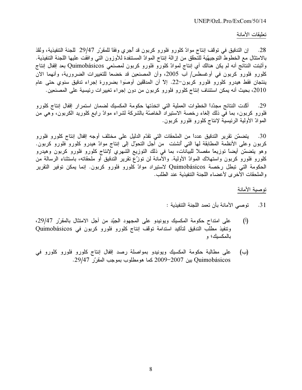تعليقات الأمانة

إن التدقيق في توقف إنتاج موادّ كلورو فلورو كربون قد أجرى وفقاً للمقرّر 29/47 للجنة التنفيذية، ونُقذ .28 بالامتثال مع الخطوط التوجيهيّة للتحقّق من إزالة إنتاج الموادّ المستنفدة للأوزون التـى وافقت عليها اللجنة التنفيذية. وأثبتت النتائج أنه لم يكن هنالك أي إنتاج لموادّ كلورو فلورو كربون لمصنَعي Quimobásicos بعد إقفال إنتاج كلورو فلورو كربون في أوغسطس/ آب 2005، وأن المصنعين قد خضعا للتغييرات الضرورية، وأنهما الآن ينتجان فقط هيدرو كلورو فلورو كربون–22. إلاّ أن المدققين أوصوا بضرورة إجراء تدقيق سنوي حتى عام 2010، بحيث أنه يمكن استئناف إنتاج كلورو فلورو كربون من دون إجراء تغييرات رئيسية على المصنعين.

أكَّدت النتائج مجدِّداً الخطوات العملية التي اتخذتها حكومة المكسيك لضمان استمرار إقفال إنتاج كلورو .29 فلورو كربون، بما في ذلك الغاء رخصة الاستيراد الخاصّة بالشركة لشراء موادّ رابع كلوريد الكربون، وهي من الموادّ الأولية الرئيسية لإنتاج كلورو فلورو كربون.

يتضمّن تقرير التدقيق عدداً من الملحقات التي تقدّم الدليل على مختلف أوجه إقفال إنتاج كلورو فلورو .30 كربون وعلى الأنظمة المطابقة لها التي أنشئت ً من أجل التحول إلى إنتاج موادّ هيدرو كلورو فلورو كربون. وهو يتضمَّن أيضاً توزيعاً مفصلاً للبيانات، بما في ذلك التوزيع الشهري لإنتاج كلورو فلورو كربون وهيدرو كلورو فلورو كربون واستهلاك الموادّ الأولية. والأمانة لن توزّع تقرير التدقيق أو ملحقاته، باستثناء الرسالة من الحكومة التي تبطل رخصة Quimobásicos لاستيراد موادّ كلورو فلورو كربون. إنما يمكن توفير التقرير والملحقات الأخرى لأعضاء اللجنة التنفيذية عند الطلب.

توصية الأمانة

- 31. توصى الأمانة بأن تعمد اللجنة التنفيذية :
- على امتداح حكومة المكسيك ويونيدو على المجهود الجيّد من أجل الامتثال بالمقرّر 29/47،  $(\mathfrak{h})$ وتنفيذ مطلب التدقيق لتأكيد استدامة توقف إنتاج كلورو فلورو كربون في Quimobásicos بالمكسيك؛ و
- على مطالبة حكومة المكسيك ويونيدو بمواصلة رصد إقفال إنتاج كلورو فلورو كلورو في (ب) Quimobásicos بين 2007–2009 كما هومطلوب بموجب المقرّر 29/47.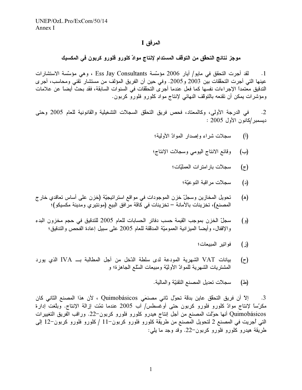### المرفق I

# موجز نتائج التحقِّق من التوقف المستدام لإنتاج موادّ كلورو فلورو كربون في المكسيك

لقد أجرت التحقق في مايو/ أيار 2006 مؤسّسة Ess Jay Consultants ، وهي مؤسّسة الاستشارات  $\cdot$ 1 عينها التي أجرت التحقّفات بين 2003 و2005. وفي حين أن الفريق المؤلف من مستشار تقني ومحاسب، أجرى التدقيق معتمداً الإجراءات نفسها كما فعل عندما أجرى التحقُّفات في السنوات السابقة، فقد بحث أيضاً عن علامات ومؤشرات يمكن أن تقنعه بالتوقف النهائي لإنتاج مواد كلورو فلورو كربون.

في الدرجة الأولى، وكالمعتاد، فحص فريق النحقق السجلات التشغيلية والقانونية للعام 2005 وحتى  $\cdot$ .2 ديسمبر /كانون الأول 2005 :

- $(i)$ سجلات شراء وإصدار الموادّ الأولية؛
- وقائع الانتاج اليومي وسجلات الإنتاج؛  $(\rightarrow)$ 
	- سجلاّت بار امتر ات العمليّات؛  $(z)$ 
		- سجلاّت مر اقبة النو عيّة؛  $(\lceil \cdot \rceil)$
- تحويل المخازين وسجلّ خزن الموجودات في مواقع استراتيجيّة (خزن على أساس تعاقدي خار ج (ه) المصنع)، تخزينات بالأمانة — تخزينات في كاقة مرّ افق البيع (مونتيري ومدينة مكسيكو)؛
- سجلّ الخزن بموجب القيمة حسب دفاتر الحسابات للعام 2005 للتدقيق في حجم مخزون البدء  $\Theta$ والإقفال، وأيضاً الميزانية العموميّة المدققة للعام 2005 على سبيل إعادة الفحص والتدقيق؛
	- فو اتير المبيعات؛ (ز)
- بيانات VAT الشهرية المودعة لدى سلطة الدّخل من أجل المطالبة بـــ IVA الذي يورد  $(\tau)$ الْمَشْتَرِيَاتَ الشَّهْرِيَّةُ لْلْمُوادِّ الْأُولَيَّةِ وَمُبْيَعَاتِ السَّلْعِ الْجَاهْزِةِ؛ وَ
	- سجلات تعديل المصنع النقنيّة والمالية. (스)

إلاّ أن فريق التحقّق عاين بدقة تحول ثاني مصنعَي Quimobásicos ، لأن هذا المصنع الثاني كان .3 مكرَّسًا لإنتاج موادَّ كلورو فلورو كربون حتى أوغسطس/ آب 2005 عندما تَمَّت إزالة الإنتاج. وبلَّغت إدارة Quimobásicos أنها حوّلت المصنع من أجل إنتاج هيدرو كلورو فلورو كربون–22. وراقب الفريق التغييرات التي أجريت في المصنع 2 لتحويل المصنع من طريقة كلورو فلورو كربون−11 / كلورو فلورو كربون−12 إلى طريقة هيدرو كلورو فلورو كربون−22. وقد وجد ما يلي: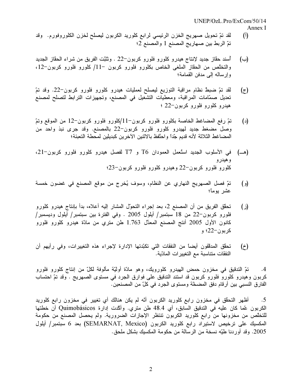$UNEP/OzL$  Pro/ExCom/50/14 Annex I

- لقد نمّ تحويل صهريج الخزن الرئيسي لرابع كلوريد الكربون ليصلح لخزن الكلوروفورم. وقد  $(\mathfrak{h})$ تمّ الربط بين صهاريج المصنع 1 والمصنع 2؛
- أسند حقَّاز جديد لإنتاج هيدرو كلُّورو فلورو كربون−22 . وثَثَبَت الفريق من شراء الحقَّاز الجديد  $(\rightarrow)$ والتخلُّص من الحقَّاز الملغي الخاص بكلورو فلورو كربون −11/ كلورو فلورو كربون−12، وإرساله إلى مدفن القمامة؛
- لقد تمّ ضبط نظام مراقبة التوزيع ليصلح لعمليات هيدرو كلورو فلورو كربون–22. وقد تمّ  $(z)$ تعديل صمَّامات المراقبة، ومعطيات التشغيل في المصنع، وتجهيزات الترابط لتصلح لمصنع هيدرو كلورو فلورو كربون–22 ؛
- تمّ رفع المضاغط الخاصة بكلورو فلورو كربون–11/كلورو فلورو كربون–12 من الموقع وتمّ  $(\lceil \cdot \rceil)$ وصل مضغط جديد لمهيدرو كلورو فلورو كربون–22 بالمصنع. وقد جرى نبذ واحد من المضاغط الثلاثة لأنه قديم جّداً واحتُفظ بالاثنين الآخرين كبديلين لمحطة التعبئة؛
- (هـ) في الأسلوب الجديد استُعمل العمودان T6 و T7 لفصل هيدرو كلورو فلورو كربون-21، وهيدرو کلورو فلورو کربون–22 وهیدرو کلورو فلورو کربون–23؛
- تمّ فصل الصهريج النهاري عن النظام، وسوف يُخرج من موقع المصنع في غضون خمسة  $\left( \begin{smallmatrix} 0 \\ 0 \end{smallmatrix} \right)$ عشر يومأ؛
- تحقَّق الفريق من أن المصنع 2، بعد إجراء التحوَّل المشار إليه أعلاه، بدأ بإنتاج هيدرو كلورو (ز) فلورو كربون–22 من 18 سبتمبر/ أيلول 2005 . وفي الفترة بين سبتمبر/ أيلول وديسمبر/ كانون الأول 2005 أنتج المصنع المعدَّل 1.763 طن متري من مادَّة هيدرو كلورو فلورو کر بو ن-22**؛** و
- تحقَّق المدقَّقون أيضاً من النفقات التي تكبَّدتها الإدارة لإجراء هذه التغييرات، وفي رأيهم أن  $(\dot{\zeta})$ النفقات متناسبة مع التغيير ات المادّية.

تمّ التدقيق في مخزون حمض الهيدرو كلورويك، وهو مادّة أوليّة مألوفة لكلّ من إنتاج كلورو فلورو  $\cdot$ .4 كربون وهيدرو كلورو فلورو كربون قد استند التدقيق على فوارق الجرد في مستوى الصهريج . وقد تمّ احتساب الفارق النسبي بين أرقام دفق المضخَّة ومستوى الجرد في كلِّ من المصنعين.

أظهر التحقُّق في مخزون رابع كلوريد الكربون أنَّه لم يكن هنالك أي تغيير في مخزون رابع كلوريد  $\cdot$ .5 الكربون عمّا كان عليه في التدقيق السابق، أي 48.4 طن متري. وأكّدت إدارة Quimobásicos أن خطتها للتخلُّص من مخزونها من رابع كلوريد الكربون تنتظر الإجازات الضرورية. ولم يحصل المصنع من حكومة المكسيك على نرخيص لاستيراد رابع كلوريد الكربون (SEMARNAT, Mexico) بعد 6 سبتمبر/ أيلول 2005. وقد أوردنا طيّه نسخة من الرسالة من حكومة المكسيك بشكل ملحق.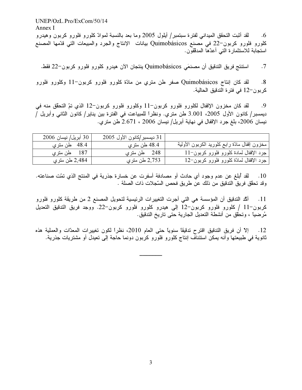$UNEP/OzL.Pro/ExCom/50/14$ Annex I لقد أثبت التحقق الميداني لفترة سبتمبر/ أيلول 2005 وما بعد بالنسبة لموادّ كلورو فلورو كربون وهيدرو  $.6$ كلورو فلورو كربون–22 في مصنع Quimobásicos بيانات الإنتاج والجرد والمبيعات التي قدّمها المصنع استجابة للاستثمارة التي أعدّها المدققون.

استنتج فريق التدقيق أن مصنعَي Quimobásicos ينتجان الآن هيدرو كلورو فلورو كربون-22 فقط.  $.7$ 

لقد كان إنتاج Quimobásicos صفر طن متري من مادّة كلورو فلورو كربون–11 وكلورو فلورو  $.8$ كربون-12 في فترة التدقيق الحالية.

لقد كان مخزون الإقفال لكلورو فلورو كربون–11 وكلورو فلورو كربون–12 الذي تمّ التحقق منه في .9 ديمسبر/ كانون الأول 2005، 3.001 طن مترى. ونظراً للمبياعت في الفترة بين يناير/ كانون الثاني وأبريل / نيسان 2006، بلغ جرد الإقفال في نهاية أبريل/ نيسان 2006 ، 2.671 طن متر ي.

| 30 أبريل/ نيسان 2006 | 31 ديسمبر/كانون الأول 2005 |                                               |
|----------------------|----------------------------|-----------------------------------------------|
| 48.4 طن متري         | 48.4 طن متر ي              | مخزون إقفال مادّة رابع كلوريد الكربون الأولية |
| 187 طن متر ي         | 248 طن مترى                | جرد الإقفال لمادة كلورو فلورو كربون−11        |
| 2,484 طن متر ي       | 2,753 طن متر ي             | جرد الإقفال لمادّة كلورو فلورو كربون−12       |

10 . لقد أبلغ عن عدم وجود أي حادث أو مصادفة أسفرت عن خسارة جذرية في المنتج الذي تمّت صناعته. وقد تحقَّق فريق التدقيق من ذلك عن طريق فحص السَّجلات ذات الصلة .

أكَّد التدقيق أن المؤسسة هي التي أجرت التغييرات الرئيسية لتحويل المصنع 2 من طريقة كلورو فلورو  $.11$ كربون-11 / كلورو فلورو كربون-12 إلى هيدرو كلورو فلورو كربون-22. ووجد فريق التدقيق التعديل مُرضياً ، وتحقَّق من أنشطة التعديل الجارية حتى تاريخ التدقيق.

إلاَّ أن فريق التدقيق اقترح تدقيقًا سنويًا حتى العام 2010، نظراً لكون تغييرات المعدّات والعملية هذه  $\overline{12}$ ثانوية في طبيعتها وأنه يمكن استئناف إنتاج كلورو فلورو كربون دونما حاجة إلى تعيدل أو مشتريات جذرية.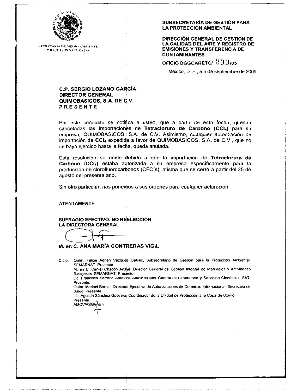

**SECRETARIA DE MEDIO AMBIENTE Y RECURSOS NATURALES** 

#### SUBSECRETARÍA DE GESTIÓN PARA LA PROTECCIÓN AMBIENTAL

DIRECCIÓN GENERAL DE GESTIÓN DE LA CALIDAD DEL AIRE Y REGISTRO DE **EMISIONES Y TRANSFERENCIA DE CONTAMINANTES** 

OFICIO DGGCARETCI 293/05

México, D. F., a 6 de septiembre de 2005

#### **C.P. SERGIO LOZANO GARCÍA DIRECTOR GENERAL** QUIMOBASICOS, S.A. DE C.V. **PRESENTE**

Por este conducto se notifica a usted, que a partir de esta fecha, quedan canceladas las importaciones de Tetracioruro de Carbono (CCI4) para su empresa, QUIMOBASICOS, \$.A. de C.V. Asimismo, cualquier autorización de importación de CCI4 expedida a favor de QUIMOBASICOS, S.A. de C.V., que no se haya ejercido hasta la fecha, queda anulada.

Esta resolución se emite debido a que la importación de Tetracloruro de Carbono (CCI4) estaba autorizada a su empresa específicamente para la producción de clorofluorocarbonos (CFC's), misma que se cerró a partir del 25 de agosto del presente año.

Sin otro particular, nos ponemos a sus órdenes para cualquier aclaración.

#### **ATENTAMENTE**

SUFRAGIO EFECTIVO. NO REELECCIÓN LA DIRECTORA GENERAL

M. en C. ANA MARÍA CONTRERAS VIGIL

C.c.p. Quim. Felipe Adrián Vázquez Gálvez, Subsecretario de Gestión para la Protección Ambiental, SEMARNAT. Presente.

M. en C. Daniel Chacón Anaya, Director General de Gestión Integral de Materiales y Actividades Riesgosas, SEMARNAT, Presente.

Lic. Francisco Serrano Aramoni, Administrador Central de Laboratorio y Servicios Científicos, SAT. Presente.

Quim. Maribel Bernal, Directora Ejecutiva de Autorizaciones de Cornercio Internacional, Secretaria de Salud. Presente.

Lic. Agustín Sánchez Guevara; Coordinador de la Unidad de Protección a la Capa de Ozono. Presente.

**AMCV/ASG/msm**